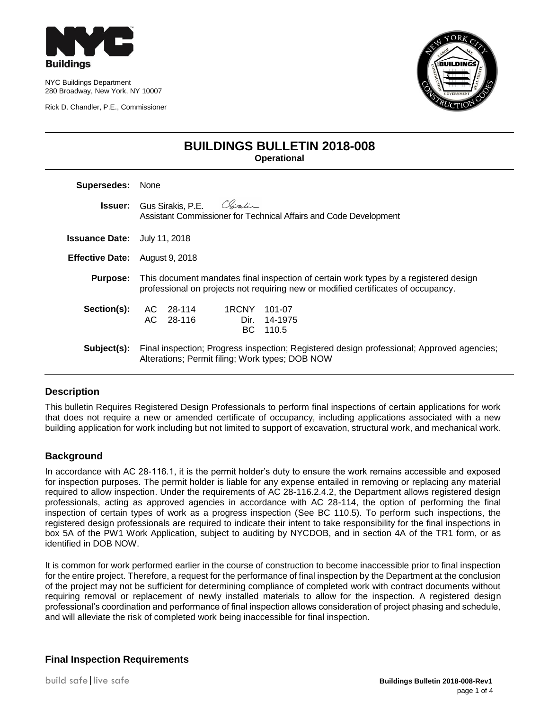

NYC Buildings Department 280 Broadway, New York, NY 10007

Rick D. Chandler, P.E., Commissioner



## **BUILDINGS BULLETIN 2018-008 Operational**

| Supersedes:                           | <b>None</b>                                                                                                                                                               |  |  |  |
|---------------------------------------|---------------------------------------------------------------------------------------------------------------------------------------------------------------------------|--|--|--|
|                                       | <b>Issuer:</b> Gus Sirakis, P.E. Chiralin<br>Assistant Commissioner for Technical Affairs and Code Development                                                            |  |  |  |
| <b>Issuance Date:</b> July 11, 2018   |                                                                                                                                                                           |  |  |  |
| <b>Effective Date:</b> August 9, 2018 |                                                                                                                                                                           |  |  |  |
| <b>Purpose:</b>                       | This document mandates final inspection of certain work types by a registered design<br>professional on projects not requiring new or modified certificates of occupancy. |  |  |  |
| Section(s):                           | 1RCNY 101-07<br>AC 28-114<br>AC 28-116<br>Dir. 14-1975<br>BC 110.5                                                                                                        |  |  |  |
| Subject(s):                           | Final inspection; Progress inspection; Registered design professional; Approved agencies;<br>Alterations; Permit filing; Work types; DOB NOW                              |  |  |  |

## **Description**

This bulletin Requires Registered Design Professionals to perform final inspections of certain applications for work that does not require a new or amended certificate of occupancy, including applications associated with a new building application for work including but not limited to support of excavation, structural work, and mechanical work.

## **Background**

In accordance with AC 28-116.1, it is the permit holder's duty to ensure the work remains accessible and exposed for inspection purposes. The permit holder is liable for any expense entailed in removing or replacing any material required to allow inspection. Under the requirements of AC 28-116.2.4.2, the Department allows registered design professionals, acting as approved agencies in accordance with AC 28-114, the option of performing the final inspection of certain types of work as a progress inspection (See BC 110.5). To perform such inspections, the registered design professionals are required to indicate their intent to take responsibility for the final inspections in box 5A of the PW1 Work Application, subject to auditing by NYCDOB, and in section 4A of the TR1 form, or as identified in DOB NOW.

It is common for work performed earlier in the course of construction to become inaccessible prior to final inspection for the entire project. Therefore, a request for the performance of final inspection by the Department at the conclusion of the project may not be sufficient for determining compliance of completed work with contract documents without requiring removal or replacement of newly installed materials to allow for the inspection. A registered design professional's coordination and performance of final inspection allows consideration of project phasing and schedule, and will alleviate the risk of completed work being inaccessible for final inspection.

## **Final Inspection Requirements**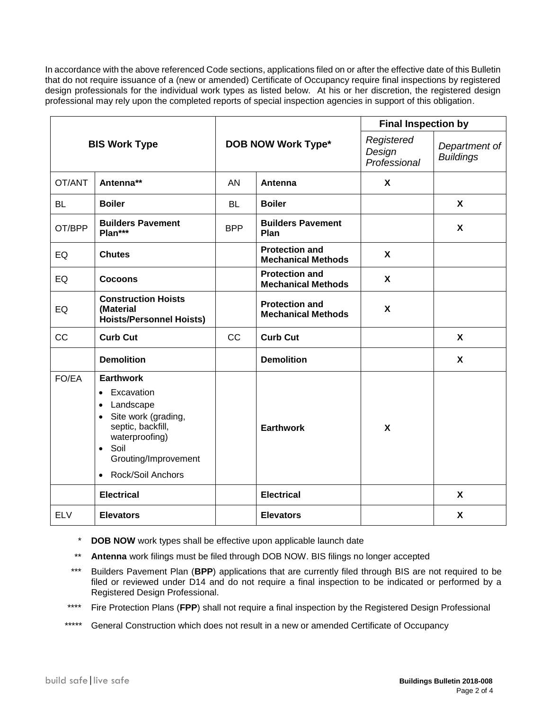In accordance with the above referenced Code sections, applications filed on or after the effective date of this Bulletin that do not require issuance of a (new or amended) Certificate of Occupancy require final inspections by registered design professionals for the individual work types as listed below. At his or her discretion, the registered design professional may rely upon the completed reports of special inspection agencies in support of this obligation.

| <b>BIS Work Type</b> |                                                                                                                                                                                                                                 | <b>DOB NOW Work Type*</b> |                                                    | <b>Final Inspection by</b>           |                                   |
|----------------------|---------------------------------------------------------------------------------------------------------------------------------------------------------------------------------------------------------------------------------|---------------------------|----------------------------------------------------|--------------------------------------|-----------------------------------|
|                      |                                                                                                                                                                                                                                 |                           |                                                    | Registered<br>Design<br>Professional | Department of<br><b>Buildings</b> |
| OT/ANT               | Antenna**                                                                                                                                                                                                                       | AN                        | Antenna                                            | X                                    |                                   |
| <b>BL</b>            | <b>Boiler</b>                                                                                                                                                                                                                   | <b>BL</b>                 | <b>Boiler</b>                                      |                                      | X                                 |
| OT/BPP               | <b>Builders Pavement</b><br>Plan***                                                                                                                                                                                             | <b>BPP</b>                | <b>Builders Pavement</b><br>Plan                   |                                      | X                                 |
| EQ                   | <b>Chutes</b>                                                                                                                                                                                                                   |                           | <b>Protection and</b><br><b>Mechanical Methods</b> | X                                    |                                   |
| EQ                   | Cocoons                                                                                                                                                                                                                         |                           | <b>Protection and</b><br><b>Mechanical Methods</b> | X                                    |                                   |
| EQ                   | <b>Construction Hoists</b><br>(Material<br><b>Hoists/Personnel Hoists)</b>                                                                                                                                                      |                           | <b>Protection and</b><br><b>Mechanical Methods</b> | X                                    |                                   |
| CC                   | <b>Curb Cut</b>                                                                                                                                                                                                                 | <b>CC</b>                 | <b>Curb Cut</b>                                    |                                      | X                                 |
|                      | <b>Demolition</b>                                                                                                                                                                                                               |                           | <b>Demolition</b>                                  |                                      | X                                 |
| FO/EA                | <b>Earthwork</b><br>Excavation<br>$\bullet$<br>Landscape<br>$\bullet$<br>Site work (grading,<br>$\bullet$<br>septic, backfill,<br>waterproofing)<br>Soil<br>$\bullet$<br>Grouting/Improvement<br>Rock/Soil Anchors<br>$\bullet$ |                           | <b>Earthwork</b>                                   | $\mathbf{x}$                         |                                   |
|                      | <b>Electrical</b>                                                                                                                                                                                                               |                           | <b>Electrical</b>                                  |                                      | X                                 |
| <b>ELV</b>           | <b>Elevators</b>                                                                                                                                                                                                                |                           | <b>Elevators</b>                                   |                                      | X                                 |

- \* **DOB NOW** work types shall be effective upon applicable launch date
- \*\* **Antenna** work filings must be filed through DOB NOW. BIS filings no longer accepted
- \*\*\* Builders Pavement Plan (**BPP**) applications that are currently filed through BIS are not required to be filed or reviewed under D14 and do not require a final inspection to be indicated or performed by a Registered Design Professional.
- \*\*\*\* Fire Protection Plans (**FPP**) shall not require a final inspection by the Registered Design Professional
- \*\*\*\*\* General Construction which does not result in a new or amended Certificate of Occupancy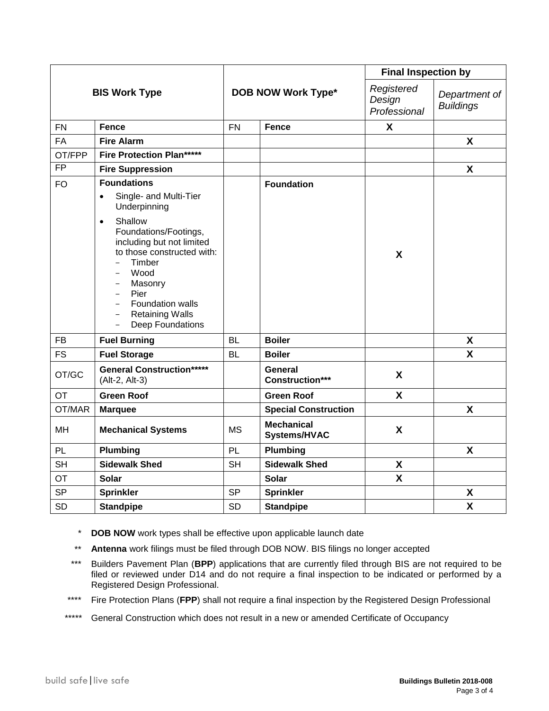| <b>BIS Work Type</b> |                                                                                                                                                                                                                                                                                              | <b>DOB NOW Work Type*</b> |                                   | <b>Final Inspection by</b>           |                                   |
|----------------------|----------------------------------------------------------------------------------------------------------------------------------------------------------------------------------------------------------------------------------------------------------------------------------------------|---------------------------|-----------------------------------|--------------------------------------|-----------------------------------|
|                      |                                                                                                                                                                                                                                                                                              |                           |                                   | Registered<br>Design<br>Professional | Department of<br><b>Buildings</b> |
| <b>FN</b>            | <b>Fence</b>                                                                                                                                                                                                                                                                                 | <b>FN</b>                 | <b>Fence</b>                      | $\mathsf{x}$                         |                                   |
| <b>FA</b>            | <b>Fire Alarm</b>                                                                                                                                                                                                                                                                            |                           |                                   |                                      | X                                 |
| OT/FPP               | <b>Fire Protection Plan*****</b>                                                                                                                                                                                                                                                             |                           |                                   |                                      |                                   |
| $\overline{FP}$      | <b>Fire Suppression</b>                                                                                                                                                                                                                                                                      |                           |                                   |                                      | X                                 |
| <b>FO</b>            | <b>Foundations</b>                                                                                                                                                                                                                                                                           |                           | <b>Foundation</b>                 |                                      |                                   |
|                      | Single- and Multi-Tier<br>$\bullet$<br>Underpinning                                                                                                                                                                                                                                          |                           |                                   |                                      |                                   |
|                      | Shallow<br>$\bullet$<br>Foundations/Footings,<br>including but not limited<br>to those constructed with:<br>Timber<br>Wood<br>Masonry<br>Pier<br>$\overline{\phantom{0}}$<br>Foundation walls<br><b>Retaining Walls</b><br>$\qquad \qquad -$<br><b>Deep Foundations</b><br>$\qquad \qquad -$ |                           |                                   | $\boldsymbol{\mathsf{X}}$            |                                   |
| <b>FB</b>            | <b>Fuel Burning</b>                                                                                                                                                                                                                                                                          | <b>BL</b>                 | <b>Boiler</b>                     |                                      | $\boldsymbol{\mathsf{X}}$         |
| <b>FS</b>            | <b>Fuel Storage</b>                                                                                                                                                                                                                                                                          | <b>BL</b>                 | <b>Boiler</b>                     |                                      | X                                 |
| OT/GC                | <b>General Construction*****</b><br>(Alt-2, Alt-3)                                                                                                                                                                                                                                           |                           | General<br><b>Construction***</b> | X                                    |                                   |
| <b>OT</b>            | <b>Green Roof</b>                                                                                                                                                                                                                                                                            |                           | <b>Green Roof</b>                 | X                                    |                                   |
| OT/MAR               | <b>Marquee</b>                                                                                                                                                                                                                                                                               |                           | <b>Special Construction</b>       |                                      | $\boldsymbol{\mathsf{X}}$         |
| <b>MH</b>            | <b>Mechanical Systems</b>                                                                                                                                                                                                                                                                    | <b>MS</b>                 | <b>Mechanical</b><br>Systems/HVAC | X                                    |                                   |
| PL                   | <b>Plumbing</b>                                                                                                                                                                                                                                                                              | PL                        | Plumbing                          |                                      | X                                 |
| <b>SH</b>            | <b>Sidewalk Shed</b>                                                                                                                                                                                                                                                                         | <b>SH</b>                 | <b>Sidewalk Shed</b>              | X                                    |                                   |
| <b>OT</b>            | <b>Solar</b>                                                                                                                                                                                                                                                                                 |                           | <b>Solar</b>                      | X                                    |                                   |
| <b>SP</b>            | <b>Sprinkler</b>                                                                                                                                                                                                                                                                             | <b>SP</b>                 | <b>Sprinkler</b>                  |                                      | X                                 |
| <b>SD</b>            | <b>Standpipe</b>                                                                                                                                                                                                                                                                             | <b>SD</b>                 | <b>Standpipe</b>                  |                                      | $\pmb{\mathsf{X}}$                |

- \* **DOB NOW** work types shall be effective upon applicable launch date
- \*\* **Antenna** work filings must be filed through DOB NOW. BIS filings no longer accepted
- \*\*\* Builders Pavement Plan (**BPP**) applications that are currently filed through BIS are not required to be filed or reviewed under D14 and do not require a final inspection to be indicated or performed by a Registered Design Professional.
- \*\*\*\* Fire Protection Plans (**FPP**) shall not require a final inspection by the Registered Design Professional
- \*\*\*\*\* General Construction which does not result in a new or amended Certificate of Occupancy